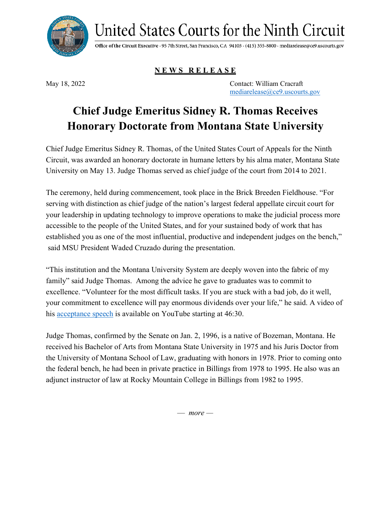

United States Courts for the Ninth Circuit

Office of the Circuit Executive · 95 7th Street, San Francisco, CA 94103 · (415) 355-8800 · mediarelease@ce9.uscourts.gov

**N E W S R E L E A S E**

May 18, 2022 Contact: William Cracraft [mediarelease@ce9.uscourts.gov](mailto:mediarelease@ce9.uscourts.gov)

## **Chief Judge Emeritus Sidney R. Thomas Receives Honorary Doctorate from Montana State University**

Chief Judge Emeritus Sidney R. Thomas, of the United States Court of Appeals for the Ninth Circuit, was awarded an honorary doctorate in humane letters by his alma mater, Montana State University on May 13. Judge Thomas served as chief judge of the court from 2014 to 2021.

The ceremony, held during commencement, took place in the Brick Breeden Fieldhouse. "For serving with distinction as chief judge of the nation's largest federal appellate circuit court for your leadership in updating technology to improve operations to make the judicial process more accessible to the people of the United States, and for your sustained body of work that has established you as one of the most influential, productive and independent judges on the bench," said MSU President Waded Cruzado during the presentation.

"This institution and the Montana University System are deeply woven into the fabric of my family" said Judge Thomas. Among the advice he gave to graduates was to commit to excellence. "Volunteer for the most difficult tasks. If you are stuck with a bad job, do it well, your commitment to excellence will pay enormous dividends over your life," he said. A video of his [acceptance speech](https://www.youtube.com/watch?v=He2fV2bCb4U) is available on YouTube starting at 46:30.

Judge Thomas, confirmed by the Senate on Jan. 2, 1996, is a native of Bozeman, Montana. He received his Bachelor of Arts from Montana State University in 1975 and his Juris Doctor from the University of Montana School of Law, graduating with honors in 1978. Prior to coming onto the federal bench, he had been in private practice in Billings from 1978 to 1995. He also was an adjunct instructor of law at Rocky Mountain College in Billings from 1982 to 1995.

— *more —*